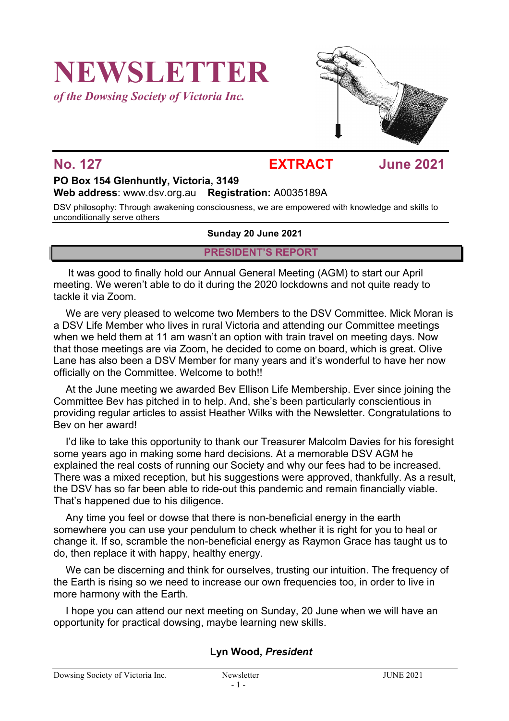# **NEWSLETTER**

*of the Dowsing Society of Victoria Inc.*



# **No. 127 EXTRACT June 2021**

## **PO Box 154 Glenhuntly, Victoria, 3149 Web address**: www.dsv.org.au **Registration:** A0035189A

DSV philosophy: Through awakening consciousness, we are empowered with knowledge and skills to unconditionally serve others

#### **Sunday 20 June 2021**

## **PRESIDENT'S REPORT**

It was good to finally hold our Annual General Meeting (AGM) to start our April meeting. We weren't able to do it during the 2020 lockdowns and not quite ready to tackle it via Zoom.

We are very pleased to welcome two Members to the DSV Committee. Mick Moran is a DSV Life Member who lives in rural Victoria and attending our Committee meetings when we held them at 11 am wasn't an option with train travel on meeting days. Now that those meetings are via Zoom, he decided to come on board, which is great. Olive Lane has also been a DSV Member for many years and it's wonderful to have her now officially on the Committee. Welcome to both!!

At the June meeting we awarded Bev Ellison Life Membership. Ever since joining the Committee Bev has pitched in to help. And, she's been particularly conscientious in providing regular articles to assist Heather Wilks with the Newsletter. Congratulations to Bev on her award!

I'd like to take this opportunity to thank our Treasurer Malcolm Davies for his foresight some years ago in making some hard decisions. At a memorable DSV AGM he explained the real costs of running our Society and why our fees had to be increased. There was a mixed reception, but his suggestions were approved, thankfully. As a result, the DSV has so far been able to ride-out this pandemic and remain financially viable. That's happened due to his diligence.

Any time you feel or dowse that there is non-beneficial energy in the earth somewhere you can use your pendulum to check whether it is right for you to heal or change it. If so, scramble the non-beneficial energy as Raymon Grace has taught us to do, then replace it with happy, healthy energy.

We can be discerning and think for ourselves, trusting our intuition. The frequency of the Earth is rising so we need to increase our own frequencies too, in order to live in more harmony with the Earth.

I hope you can attend our next meeting on Sunday, 20 June when we will have an opportunity for practical dowsing, maybe learning new skills.

## **Lyn Wood,** *President*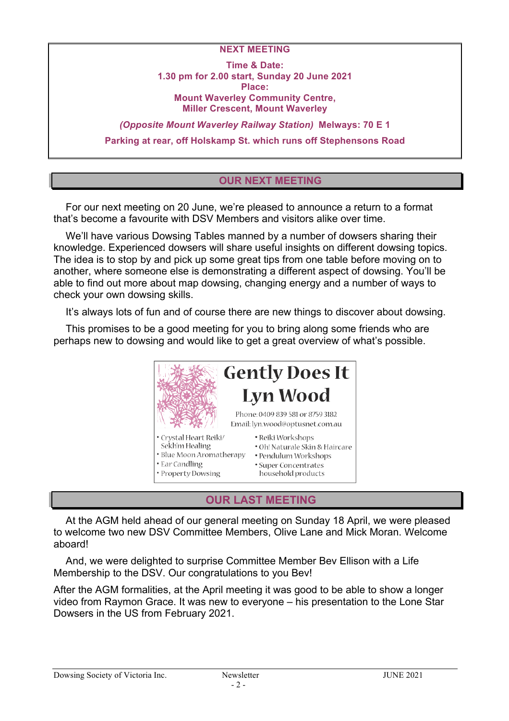#### **NEXT MEETING**

**Time & Date: 1.30 pm for 2.00 start, Sunday 20 June 2021 Place: Mount Waverley Community Centre, Miller Crescent, Mount Waverley**

*(Opposite Mount Waverley Railway Station)* **Melways: 70 E 1 Parking at rear, off Holskamp St. which runs off Stephensons Road**

# **OUR NEXT MEETING**

For our next meeting on 20 June, we're pleased to announce a return to a format that's become a favourite with DSV Members and visitors alike over time.

We'll have various Dowsing Tables manned by a number of dowsers sharing their knowledge. Experienced dowsers will share useful insights on different dowsing topics. The idea is to stop by and pick up some great tips from one table before moving on to another, where someone else is demonstrating a different aspect of dowsing. You'll be able to find out more about map dowsing, changing energy and a number of ways to check your own dowsing skills.

It's always lots of fun and of course there are new things to discover about dowsing.

This promises to be a good meeting for you to bring along some friends who are perhaps new to dowsing and would like to get a great overview of what's possible.



# **OUR LAST MEETING**

At the AGM held ahead of our general meeting on Sunday 18 April, we were pleased to welcome two new DSV Committee Members, Olive Lane and Mick Moran. Welcome aboard!

And, we were delighted to surprise Committee Member Bev Ellison with a Life Membership to the DSV. Our congratulations to you Bev!

After the AGM formalities, at the April meeting it was good to be able to show a longer video from Raymon Grace. It was new to everyone – his presentation to the Lone Star Dowsers in the US from February 2021.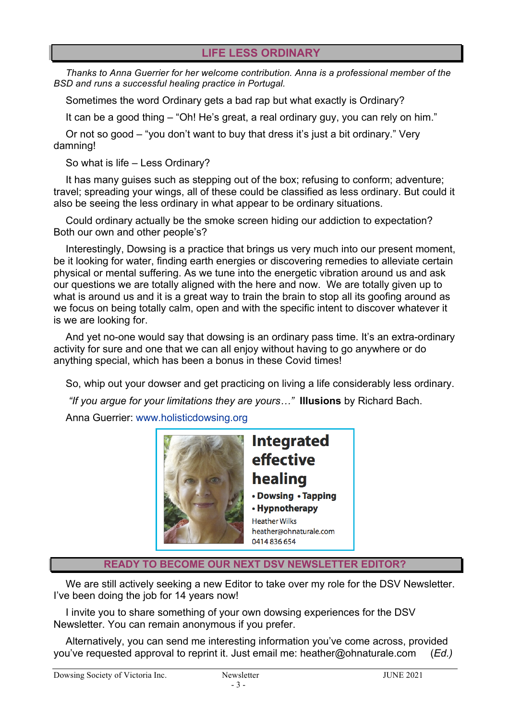# **LIFE LESS ORDINARY**

*Thanks to Anna Guerrier for her welcome contribution. Anna is a professional member of the BSD and runs a successful healing practice in Portugal.*

Sometimes the word Ordinary gets a bad rap but what exactly is Ordinary?

It can be a good thing – "Oh! He's great, a real ordinary guy, you can rely on him."

Or not so good – "you don't want to buy that dress it's just a bit ordinary." Very damning!

So what is life – Less Ordinary?

It has many guises such as stepping out of the box; refusing to conform; adventure; travel; spreading your wings, all of these could be classified as less ordinary. But could it also be seeing the less ordinary in what appear to be ordinary situations.

Could ordinary actually be the smoke screen hiding our addiction to expectation? Both our own and other people's?

Interestingly, Dowsing is a practice that brings us very much into our present moment, be it looking for water, finding earth energies or discovering remedies to alleviate certain physical or mental suffering. As we tune into the energetic vibration around us and ask our questions we are totally aligned with the here and now. We are totally given up to what is around us and it is a great way to train the brain to stop all its goofing around as we focus on being totally calm, open and with the specific intent to discover whatever it is we are looking for.

And yet no-one would say that dowsing is an ordinary pass time. It's an extra-ordinary activity for sure and one that we can all enjoy without having to go anywhere or do anything special, which has been a bonus in these Covid times!

So, whip out your dowser and get practicing on living a life considerably less ordinary.

*"If you argue for your limitations they are yours…"* **Illusions** by Richard Bach.

Anna Guerrier: www.holisticdowsing.org



**Integrated** effective healing • Dowsing • Tapping • Hypnotherapy **Heather Wilks** heather@ohnaturale.com 0414 836 654

**READY TO BECOME OUR NEXT DSV NEWSLETTER EDITOR?**

We are still actively seeking a new Editor to take over my role for the DSV Newsletter. I've been doing the job for 14 years now!

I invite you to share something of your own dowsing experiences for the DSV Newsletter. You can remain anonymous if you prefer.

Alternatively, you can send me interesting information you've come across, provided you've requested approval to reprint it. Just email me: heather@ohnaturale.com (*Ed.)*